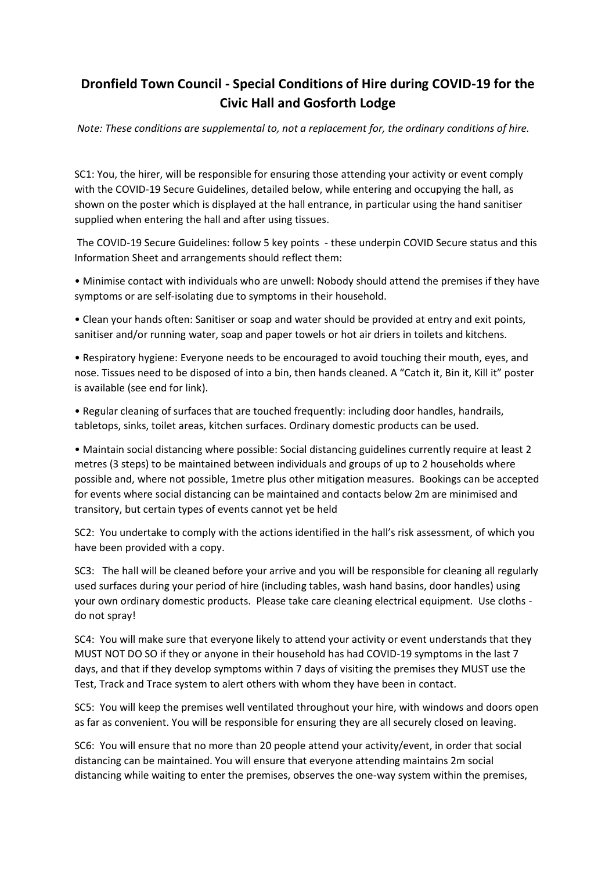## **Dronfield Town Council - Special Conditions of Hire during COVID-19 for the Civic Hall and Gosforth Lodge**

*Note: These conditions are supplemental to, not a replacement for, the ordinary conditions of hire.* 

SC1: You, the hirer, will be responsible for ensuring those attending your activity or event comply with the COVID-19 Secure Guidelines, detailed below, while entering and occupying the hall, as shown on the poster which is displayed at the hall entrance, in particular using the hand sanitiser supplied when entering the hall and after using tissues.

The COVID-19 Secure Guidelines: follow 5 key points - these underpin COVID Secure status and this Information Sheet and arrangements should reflect them:

• Minimise contact with individuals who are unwell: Nobody should attend the premises if they have symptoms or are self-isolating due to symptoms in their household.

• Clean your hands often: Sanitiser or soap and water should be provided at entry and exit points, sanitiser and/or running water, soap and paper towels or hot air driers in toilets and kitchens.

• Respiratory hygiene: Everyone needs to be encouraged to avoid touching their mouth, eyes, and nose. Tissues need to be disposed of into a bin, then hands cleaned. A "Catch it, Bin it, Kill it" poster is available (see end for link).

• Regular cleaning of surfaces that are touched frequently: including door handles, handrails, tabletops, sinks, toilet areas, kitchen surfaces. Ordinary domestic products can be used.

• Maintain social distancing where possible: Social distancing guidelines currently require at least 2 metres (3 steps) to be maintained between individuals and groups of up to 2 households where possible and, where not possible, 1metre plus other mitigation measures. Bookings can be accepted for events where social distancing can be maintained and contacts below 2m are minimised and transitory, but certain types of events cannot yet be held

SC2: You undertake to comply with the actions identified in the hall's risk assessment, of which you have been provided with a copy.

SC3: The hall will be cleaned before your arrive and you will be responsible for cleaning all regularly used surfaces during your period of hire (including tables, wash hand basins, door handles) using your own ordinary domestic products. Please take care cleaning electrical equipment. Use cloths do not spray!

SC4: You will make sure that everyone likely to attend your activity or event understands that they MUST NOT DO SO if they or anyone in their household has had COVID-19 symptoms in the last 7 days, and that if they develop symptoms within 7 days of visiting the premises they MUST use the Test, Track and Trace system to alert others with whom they have been in contact.

SC5: You will keep the premises well ventilated throughout your hire, with windows and doors open as far as convenient. You will be responsible for ensuring they are all securely closed on leaving.

SC6: You will ensure that no more than 20 people attend your activity/event, in order that social distancing can be maintained. You will ensure that everyone attending maintains 2m social distancing while waiting to enter the premises, observes the one-way system within the premises,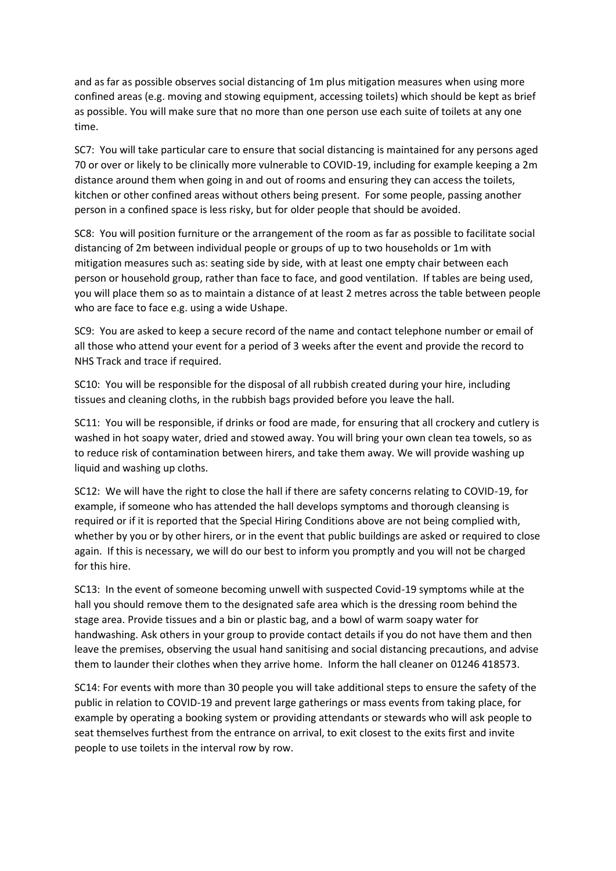and as far as possible observes social distancing of 1m plus mitigation measures when using more confined areas (e.g. moving and stowing equipment, accessing toilets) which should be kept as brief as possible. You will make sure that no more than one person use each suite of toilets at any one time.

SC7: You will take particular care to ensure that social distancing is maintained for any persons aged 70 or over or likely to be clinically more vulnerable to COVID-19, including for example keeping a 2m distance around them when going in and out of rooms and ensuring they can access the toilets, kitchen or other confined areas without others being present. For some people, passing another person in a confined space is less risky, but for older people that should be avoided.

SC8: You will position furniture or the arrangement of the room as far as possible to facilitate social distancing of 2m between individual people or groups of up to two households or 1m with mitigation measures such as: seating side by side, with at least one empty chair between each person or household group, rather than face to face, and good ventilation. If tables are being used, you will place them so as to maintain a distance of at least 2 metres across the table between people who are face to face e.g. using a wide Ushape.

SC9: You are asked to keep a secure record of the name and contact telephone number or email of all those who attend your event for a period of 3 weeks after the event and provide the record to NHS Track and trace if required.

SC10: You will be responsible for the disposal of all rubbish created during your hire, including tissues and cleaning cloths, in the rubbish bags provided before you leave the hall.

SC11: You will be responsible, if drinks or food are made, for ensuring that all crockery and cutlery is washed in hot soapy water, dried and stowed away. You will bring your own clean tea towels, so as to reduce risk of contamination between hirers, and take them away. We will provide washing up liquid and washing up cloths.

SC12: We will have the right to close the hall if there are safety concerns relating to COVID-19, for example, if someone who has attended the hall develops symptoms and thorough cleansing is required or if it is reported that the Special Hiring Conditions above are not being complied with, whether by you or by other hirers, or in the event that public buildings are asked or required to close again. If this is necessary, we will do our best to inform you promptly and you will not be charged for this hire.

SC13: In the event of someone becoming unwell with suspected Covid-19 symptoms while at the hall you should remove them to the designated safe area which is the dressing room behind the stage area. Provide tissues and a bin or plastic bag, and a bowl of warm soapy water for handwashing. Ask others in your group to provide contact details if you do not have them and then leave the premises, observing the usual hand sanitising and social distancing precautions, and advise them to launder their clothes when they arrive home. Inform the hall cleaner on 01246 418573.

SC14: For events with more than 30 people you will take additional steps to ensure the safety of the public in relation to COVID-19 and prevent large gatherings or mass events from taking place, for example by operating a booking system or providing attendants or stewards who will ask people to seat themselves furthest from the entrance on arrival, to exit closest to the exits first and invite people to use toilets in the interval row by row.